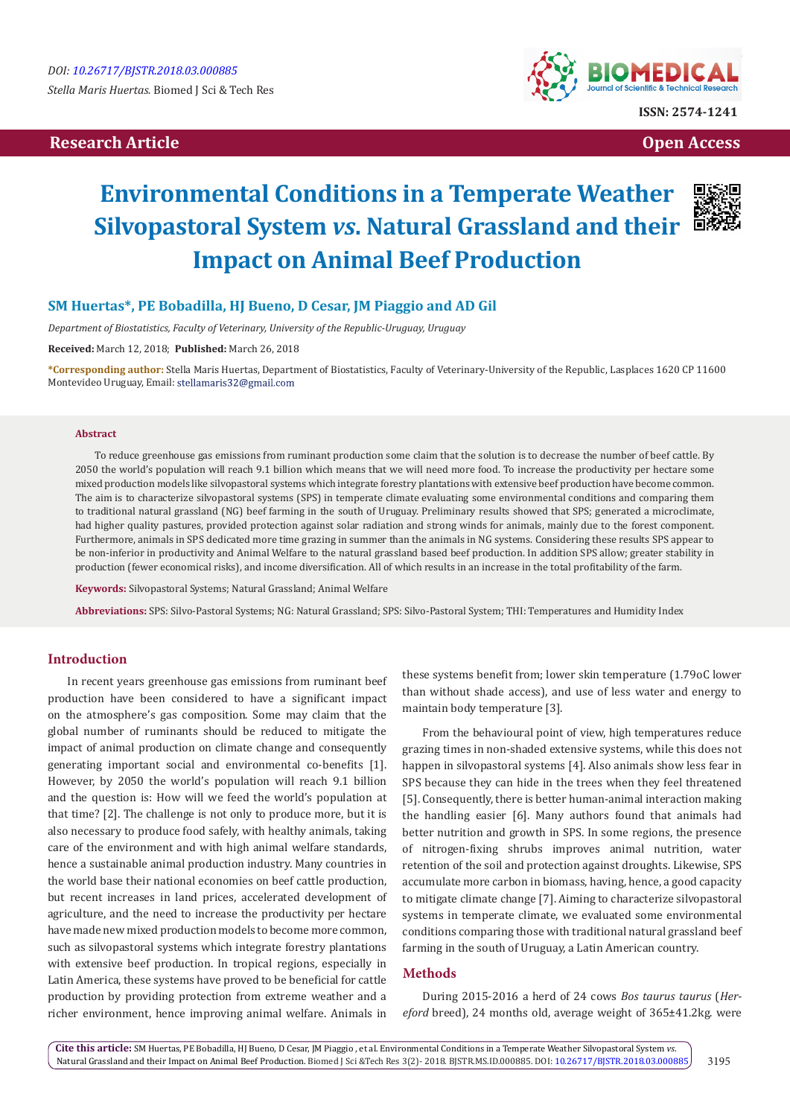# **Research Article Open Access Contract Article Open Access Open Access Open Access**



# **Environmental Conditions in a Temperate Weather Silvopastoral System** *vs***. Natural Grassland and their Impact on Animal Beef Production**



# **SM Huertas\*, PE Bobadilla, HJ Bueno, D Cesar, JM Piaggio and AD Gil**

*Department of Biostatistics, Faculty of Veterinary, University of the Republic-Uruguay, Uruguay*

**Received:** March 12, 2018; **Published:** March 26, 2018

**\*Corresponding author:** Stella Maris Huertas, Department of Biostatistics, Faculty of Veterinary-University of the Republic, Lasplaces 1620 CP 11600 Montevideo Uruguay, Email: stellamaris32@gmail.com

#### **Abstract**

To reduce greenhouse gas emissions from ruminant production some claim that the solution is to decrease the number of beef cattle. By 2050 the world's population will reach 9.1 billion which means that we will need more food. To increase the productivity per hectare some mixed production models like silvopastoral systems which integrate forestry plantations with extensive beef production have become common. The aim is to characterize silvopastoral systems (SPS) in temperate climate evaluating some environmental conditions and comparing them to traditional natural grassland (NG) beef farming in the south of Uruguay. Preliminary results showed that SPS; generated a microclimate, had higher quality pastures, provided protection against solar radiation and strong winds for animals, mainly due to the forest component. Furthermore, animals in SPS dedicated more time grazing in summer than the animals in NG systems. Considering these results SPS appear to be non-inferior in productivity and Animal Welfare to the natural grassland based beef production. In addition SPS allow; greater stability in production (fewer economical risks), and income diversification. All of which results in an increase in the total profitability of the farm.

**Keywords:** Silvopastoral Systems; Natural Grassland; Animal Welfare

**Abbreviations:** SPS: Silvo-Pastoral Systems; NG: Natural Grassland; SPS: Silvo-Pastoral System; THI: Temperatures and Humidity Index

## **Introduction**

In recent years greenhouse gas emissions from ruminant beef production have been considered to have a significant impact on the atmosphere's gas composition. Some may claim that the global number of ruminants should be reduced to mitigate the impact of animal production on climate change and consequently generating important social and environmental co-benefits [1]. However, by 2050 the world's population will reach 9.1 billion and the question is: How will we feed the world's population at that time? [2]. The challenge is not only to produce more, but it is also necessary to produce food safely, with healthy animals, taking care of the environment and with high animal welfare standards, hence a sustainable animal production industry. Many countries in the world base their national economies on beef cattle production, but recent increases in land prices, accelerated development of agriculture, and the need to increase the productivity per hectare have made new mixed production models to become more common, such as silvopastoral systems which integrate forestry plantations with extensive beef production. In tropical regions, especially in Latin America, these systems have proved to be beneficial for cattle production by providing protection from extreme weather and a richer environment, hence improving animal welfare. Animals in

these systems benefit from; lower skin temperature (1.79oC lower than without shade access), and use of less water and energy to maintain body temperature [3].

From the behavioural point of view, high temperatures reduce grazing times in non-shaded extensive systems, while this does not happen in silvopastoral systems [4]. Also animals show less fear in SPS because they can hide in the trees when they feel threatened [5]. Consequently, there is better human-animal interaction making the handling easier [6]. Many authors found that animals had better nutrition and growth in SPS. In some regions, the presence of nitrogen-fixing shrubs improves animal nutrition, water retention of the soil and protection against droughts. Likewise, SPS accumulate more carbon in biomass, having, hence, a good capacity to mitigate climate change [7]. Aiming to characterize silvopastoral systems in temperate climate, we evaluated some environmental conditions comparing those with traditional natural grassland beef farming in the south of Uruguay, a Latin American country.

#### **Methods**

During 2015-2016 a herd of 24 cows *Bos taurus taurus* (*Hereford* breed), 24 months old, average weight of 365±41.2kg. were